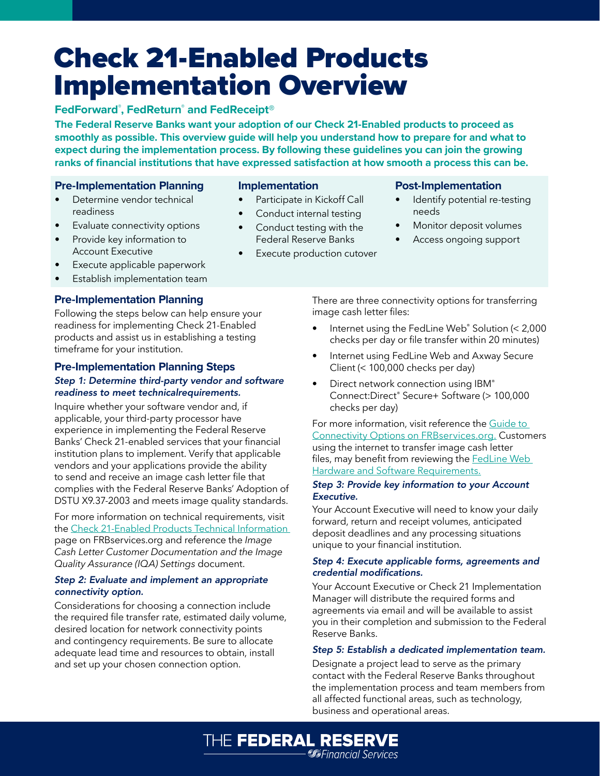# Check 21-Enabled Products Implementation Overview

## **FedForward® , FedReturn® and FedReceipt®**

**The Federal Reserve Banks want your adoption of our Check 21-Enabled products to proceed as smoothly as possible. This overview guide will help you understand how to prepare for and what to expect during the implementation process. By following these guidelines you can join the growing ranks of financial institutions that have expressed satisfaction at how smooth a process this can be.**

## **Pre-Implementation Planning**

- Determine vendor technical readiness
- Evaluate connectivity options
- Provide key information to Account Executive
- Execute applicable paperwork
- Establish implementation team

## **Pre-Implementation Planning**

Following the steps below can help ensure your readiness for implementing Check 21-Enabled products and assist us in establishing a testing timeframe for your institution.

## **Pre-Implementation Planning Steps**

## *Step 1: Determine third-party vendor and software readiness to meet technicalrequirements.*

Inquire whether your software vendor and, if applicable, your third-party processor have experience in implementing the Federal Reserve Banks' Check 21-enabled services that your financial institution plans to implement. Verify that applicable vendors and your applications provide the ability to send and receive an image cash letter file that complies with the Federal Reserve Banks' Adoption of DSTU X9.37-2003 and meets image quality standards.

For more information on technical requirements, visit the [Check 21-Enabled Products Technical Information](https://www.frbservices.org/financial-services/check/service-setup/check21-technical-information.html)  page on FRBservices.org and reference the *Image Cash Letter Customer Documentation and the Image Quality Assurance (IQA) Settings* document.

#### *Step 2: Evaluate and implement an appropriate connectivity option.*

Considerations for choosing a connection include the required file transfer rate, estimated daily volume, desired location for network connectivity points and contingency requirements. Be sure to allocate adequate lead time and resources to obtain, install and set up your chosen connection option.

#### **Implementation**

- Participate in Kickoff Call
- Conduct internal testing
- Conduct testing with the Federal Reserve Banks
- Execute production cutover

THE FEDERAL RESERVE

**S**Financial Services

## **Post-Implementation**

- Identify potential re-testing needs
- Monitor deposit volumes
- Access ongoing support

There are three connectivity options for transferring image cash letter files:

- Internet using the FedLine Web® Solution (< 2,000 checks per day or file transfer within 20 minutes)
- Internet using FedLine Web and Axway Secure Client (< 100,000 checks per day)
- Direct network connection using IBM® Connect:Direct® Secure+ Software (> 100,000 checks per day)

For more information, visit reference the [Guide to](https://www.frbservices.org/financial-services/check/service-setup/check21-technical-information.html)  [Connectivity Options on FRBservices.org.](https://www.frbservices.org/financial-services/check/service-setup/check21-technical-information.html) Customers using the internet to transfer image cash letter files, may benefit from reviewing the [FedLine Web](https://www.frbservices.org/fedline-solutions/service-setup/fedline-web/hardware-software-requirements.html)  [Hardware and Software Requirements.](https://www.frbservices.org/fedline-solutions/service-setup/fedline-web/hardware-software-requirements.html)

#### *Step 3: Provide key information to your Account Executive.*

Your Account Executive will need to know your daily forward, return and receipt volumes, anticipated deposit deadlines and any processing situations unique to your financial institution.

#### *Step 4: Execute applicable forms, agreements and credential modifications.*

Your Account Executive or Check 21 Implementation Manager will distribute the required forms and agreements via email and will be available to assist you in their completion and submission to the Federal Reserve Banks.

### *Step 5: Establish a dedicated implementation team.*

Designate a project lead to serve as the primary contact with the Federal Reserve Banks throughout the implementation process and team members from all affected functional areas, such as technology, business and operational areas.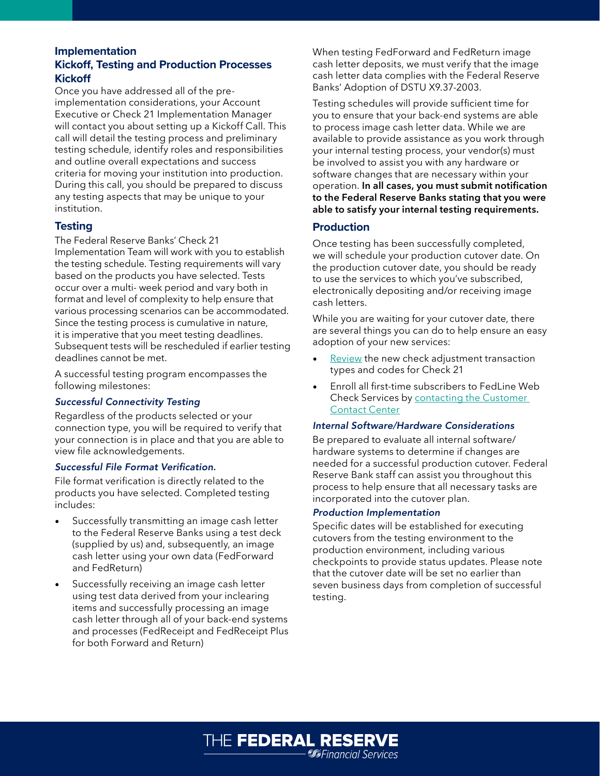## **Implementation Kickoff, Testing and Production Processes Kickoff**

Once you have addressed all of the preimplementation considerations, your Account Executive or Check 21 Implementation Manager will contact you about setting up a Kickoff Call. This call will detail the testing process and preliminary testing schedule, identify roles and responsibilities and outline overall expectations and success criteria for moving your institution into production. During this call, you should be prepared to discuss any testing aspects that may be unique to your institution.

## **Testing**

The Federal Reserve Banks' Check 21 Implementation Team will work with you to establish the testing schedule. Testing requirements will vary based on the products you have selected. Tests occur over a multi- week period and vary both in format and level of complexity to help ensure that various processing scenarios can be accommodated. Since the testing process is cumulative in nature, it is imperative that you meet testing deadlines. Subsequent tests will be rescheduled if earlier testing deadlines cannot be met.

A successful testing program encompasses the following milestones:

## *Successful Connectivity Testing*

Regardless of the products selected or your connection type, you will be required to verify that your connection is in place and that you are able to view file acknowledgements.

### *Successful File Format Verification.*

File format verification is directly related to the products you have selected. Completed testing includes:

- Successfully transmitting an image cash letter to the Federal Reserve Banks using a test deck (supplied by us) and, subsequently, an image cash letter using your own data (FedForward and FedReturn)
- Successfully receiving an image cash letter using test data derived from your inclearing items and successfully processing an image cash letter through all of your back-end systems and processes (FedReceipt and FedReceipt Plus for both Forward and Return)

When testing FedForward and FedReturn image cash letter deposits, we must verify that the image cash letter data complies with the Federal Reserve Banks' Adoption of DSTU X9.37-2003.

Testing schedules will provide sufficient time for you to ensure that your back-end systems are able to process image cash letter data. While we are available to provide assistance as you work through your internal testing process, your vendor(s) must be involved to assist you with any hardware or software changes that are necessary within your operation. **In all cases, you must submit notification to the Federal Reserve Banks stating that you were able to satisfy your internal testing requirements.**

## **Production**

Once testing has been successfully completed, we will schedule your production cutover date. On the production cutover date, you should be ready to use the services to which you've subscribed, electronically depositing and/or receiving image cash letters.

While you are waiting for your cutover date, there are several things you can do to help ensure an easy adoption of your new services:

- [Review](https://www.frbservices.org/resources/financial-services/check/reference-guide/index.html) the new check adjustment transaction types and codes for Check 21
- Enroll all first-time subscribers to FedLine Web Check Service[s by contacting the Customer](https://www.frbservices.org/contactus/customer-contact-center.html)  [Contact Center](https://www.frbservices.org/contactus/customer-contact-center.html)

## *Internal Software/Hardware Considerations*

Be prepared to evaluate all internal software/ hardware systems to determine if changes are needed for a successful production cutover. Federal Reserve Bank staff can assist you throughout this process to help ensure that all necessary tasks are incorporated into the cutover plan.

## *Production Implementation*

Specific dates will be established for executing cutovers from the testing environment to the production environment, including various checkpoints to provide status updates. Please note that the cutover date will be set no earlier than seven business days from completion of successful testing.